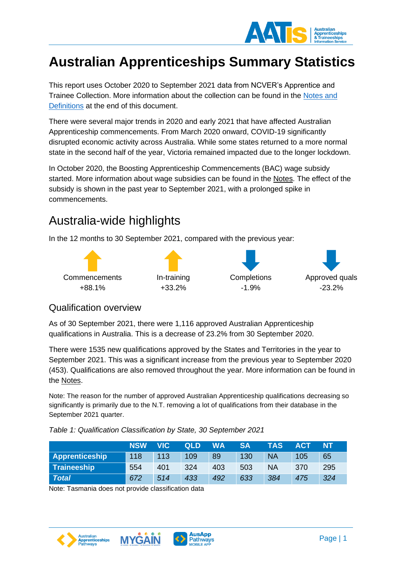

# **Australian Apprenticeships Summary Statistics**

This report uses October 2020 to September 2021 data from NCVER's Apprentice and Trainee Collection. More information about the collection can be found in the [Notes and](#page-13-0)  [Definitions](#page-13-0) at the end of this document.

There were several major trends in 2020 and early 2021 that have affected Australian Apprenticeship commencements. From March 2020 onward, COVID-19 significantly disrupted economic activity across Australia. While some states returned to a more normal state in the second half of the year, Victoria remained impacted due to the longer lockdown.

In October 2020, the Boosting Apprenticeship Commencements (BAC) wage subsidy started. More information about wage subsidies can be found in the [Notes.](#page-13-1) The effect of the subsidy is shown in the past year to September 2021, with a prolonged spike in commencements.

### Australia-wide highlights

In the 12 months to 30 September 2021, compared with the previous year:



### Qualification overview

As of 30 September 2021, there were 1,116 approved Australian Apprenticeship qualifications in Australia. This is a decrease of 23.2% from 30 September 2020.

There were 1535 new qualifications approved by the States and Territories in the year to September 2021. This was a significant increase from the previous year to September 2020 (453). Qualifications are also removed throughout the year. More information can be found in the [Notes.](#page-13-2)

Note: The reason for the number of approved Australian Apprenticeship qualifications decreasing so significantly is primarily due to the N.T. removing a lot of qualifications from their database in the September 2021 quarter.

|  | Table 1: Qualification Classification by State, 30 September 2021 |  |  |  |
|--|-------------------------------------------------------------------|--|--|--|
|--|-------------------------------------------------------------------|--|--|--|

|                       | <b>NSW</b> | <b>VIC</b> | <b>QLD</b> | <b>WA</b> | <b>SA</b> | <b>TAS</b> | ACT | <b>NT</b> |
|-----------------------|------------|------------|------------|-----------|-----------|------------|-----|-----------|
| <b>Apprenticeship</b> | 118        | 113        | 109        | 89        | 130       | <b>NA</b>  | 105 | 65        |
| Traineeship           | 554        | 401        | 324        | 403       | 503       | <b>NA</b>  | 370 | 295       |
| <b>Total</b>          | 672        | 514        | 433        | 492       | 633       | 384        | 475 | 324       |

Note: Tasmania does not provide classification data





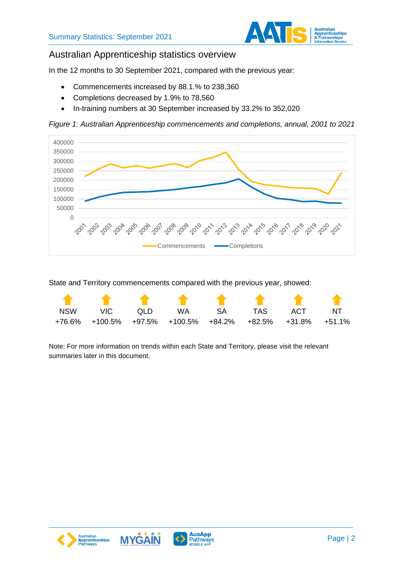

### Australian Apprenticeship statistics overview

In the 12 months to 30 September 2021, compared with the previous year:

- Commencements increased by 88.1.% to 238,360
- Completions decreased by 1.9% to 78,560
- In-training numbers at 30 September increased by 33.2% to 352,020

*Figure 1: Australian Apprenticeship commencements and completions, annual, 2001 to 2021*



State and Territory commencements compared with the previous year, showed:

|            | * * * * * * * *                                           |                   |  |     |    |
|------------|-----------------------------------------------------------|-------------------|--|-----|----|
| <b>NSW</b> |                                                           | VIC OLD WA SA TAS |  | ACT | NT |
|            | +76.6% +100.5% +97.5% +100.5% +84.2% +82.5% +31.8% +51.1% |                   |  |     |    |

Note: For more information on trends within each State and Territory, please visit the relevant summaries later in this document.





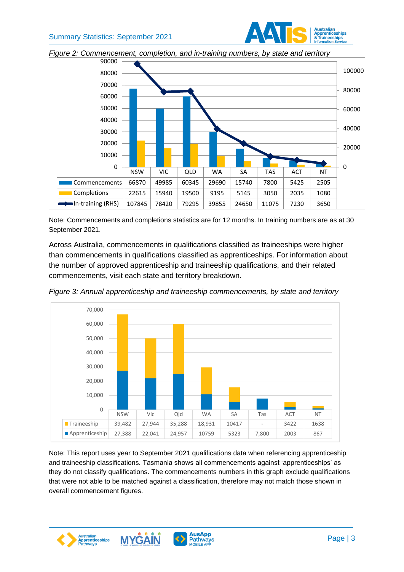



*Figure 2: Commencement, completion, and in-training numbers, by state and territory*

Note: Commencements and completions statistics are for 12 months. In training numbers are as at 30 September 2021.

Across Australia, commencements in qualifications classified as traineeships were higher than commencements in qualifications classified as apprenticeships. For information about the number of approved apprenticeship and traineeship qualifications, and their related commencements, visit each state and territory breakdown.



*Figure 3: Annual apprenticeship and traineeship commencements, by state and territory*

Note: This report uses year to September 2021 qualifications data when referencing apprenticeship and traineeship classifications. Tasmania shows all commencements against 'apprenticeships' as they do not classify qualifications. The commencements numbers in this graph exclude qualifications that were not able to be matched against a classification, therefore may not match those shown in overall commencement figures.



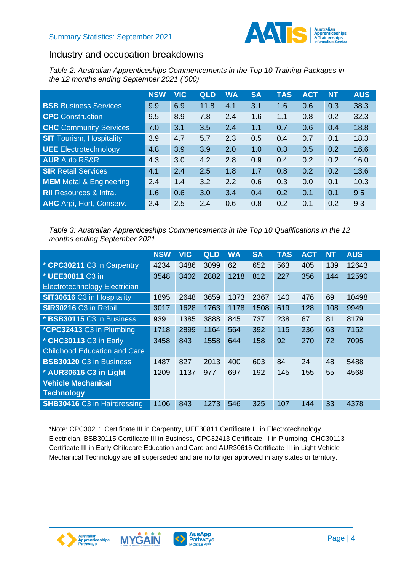

### Industry and occupation breakdowns

*Table 2: Australian Apprenticeships Commencements in the Top 10 Training Packages in the 12 months ending September 2021 ('000)*

|                                 | <b>NSW</b> | <b>VIC</b> | QLD  | <b>WA</b> | <b>SA</b> | <b>TAS</b> | <b>ACT</b> | <b>NT</b> | <b>AUS</b> |
|---------------------------------|------------|------------|------|-----------|-----------|------------|------------|-----------|------------|
| <b>BSB</b> Business Services    | 9.9        | 6.9        | 11.8 | 4.1       | 3.1       | 1.6        | 0.6        | 0.3       | 38.3       |
| <b>CPC</b> Construction         | 9.5        | 8.9        | 7.8  | 2.4       | 1.6       | 1.1        | 0.8        | 0.2       | 32.3       |
| <b>CHC</b> Community Services   | 7.0        | 3.1        | 3.5  | 2.4       | 1.1       | 0.7        | 0.6        | 0.4       | 18.8       |
| <b>SIT</b> Tourism, Hospitality | 3.9        | 4.7        | 5.7  | 2.3       | 0.5       | 0.4        | 0.7        | 0.1       | 18.3       |
| UEE Electrotechnology           | 4.8        | 3.9        | 3.9  | 2.0       | 1.0       | 0.3        | 0.5        | 0.2       | 16.6       |
| <b>AUR Auto RS&amp;R</b>        | 4.3        | 3.0        | 4.2  | 2.8       | 0.9       | 0.4        | 0.2        | 0.2       | 16.0       |
| <b>SIR Retail Services</b>      | 4.1        | 2.4        | 2.5  | 1.8       | 1.7       | 0.8        | 0.2        | 0.2       | 13.6       |
| <b>MEM</b> Metal & Engineering  | 2.4        | 1.4        | 3.2  | 2.2       | 0.6       | 0.3        | 0.0        | 0.1       | 10.3       |
| <b>RII</b> Resources & Infra.   | 1.6        | 0.6        | 3.0  | 3.4       | 0.4       | 0.2        | 0.1        | 0.1       | 9.5        |
| <b>AHC</b> Argi, Hort, Conserv. | 2.4        | 2.5        | 2.4  | 0.6       | 0.8       | 0.2        | 0.1        | 0.2       | 9.3        |

*Table 3: Australian Apprenticeships Commencements in the Top 10 Qualifications in the 12 months ending September 2021*

|                                     | <b>NSW</b> | <b>VIC</b> | <b>QLD</b> | <b>WA</b> | <b>SA</b> | <b>TAS</b> | <b>ACT</b> | <b>NT</b> | <b>AUS</b> |
|-------------------------------------|------------|------------|------------|-----------|-----------|------------|------------|-----------|------------|
| * CPC30211 C3 in Carpentry          | 4234       | 3486       | 3099       | 62        | 652       | 563        | 405        | 139       | 12643      |
| * UEE30811 C3 in                    | 3548       | 3402       | 2882       | 1218      | 812       | 227        | 356        | 144       | 12590      |
| Electrotechnology Electrician       |            |            |            |           |           |            |            |           |            |
| SIT30616 C3 in Hospitality          | 1895       | 2648       | 3659       | 1373      | 2367      | 140        | 476        | 69        | 10498      |
| <b>SIR30216 C3 in Retail</b>        | 3017       | 1628       | 1763       | 1178      | 1508      | 619        | 128        | 108       | 9949       |
| * BSB30115 C3 in Business           | 939        | 1385       | 3888       | 845       | 737       | 238        | 67         | 81        | 8179       |
| *CPC32413 C3 in Plumbing            | 1718       | 2899       | 1164       | 564       | 392       | 115        | 236        | 63        | 7152       |
| * CHC30113 C3 in Early              | 3458       | 843        | 1558       | 644       | 158       | 92         | 270        | 72        | 7095       |
| <b>Childhood Education and Care</b> |            |            |            |           |           |            |            |           |            |
| <b>BSB30120 C3 in Business</b>      | 1487       | 827        | 2013       | 400       | 603       | 84         | 24         | 48        | 5488       |
| * AUR30616 C3 in Light              | 1209       | 1137       | 977        | 697       | 192       | 145        | 155        | 55        | 4568       |
| <b>Vehicle Mechanical</b>           |            |            |            |           |           |            |            |           |            |
| <b>Technology</b>                   |            |            |            |           |           |            |            |           |            |
| <b>SHB30416 C3 in Hairdressing</b>  | 1106       | 843        | 1273       | 546       | 325       | 107        | 144        | 33        | 4378       |

\*Note: CPC30211 Certificate III in Carpentry, UEE30811 Certificate III in Electrotechnology Electrician, BSB30115 Certificate III in Business, CPC32413 Certificate III in Plumbing, CHC30113 Certificate III in Early Childcare Education and Care and AUR30616 Certificate III in Light Vehicle Mechanical Technology are all superseded and are no longer approved in any states or territory.





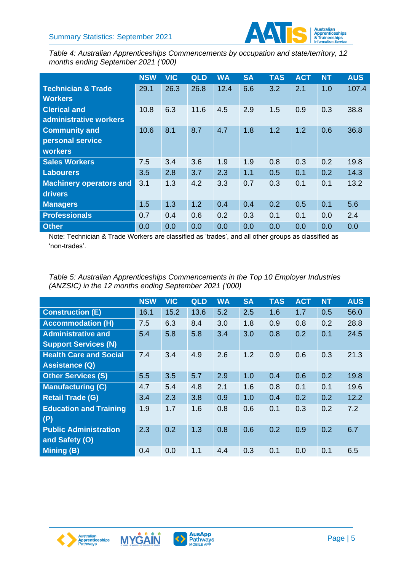

*Table 4: Australian Apprenticeships Commencements by occupation and state/territory, 12 months ending September 2021 ('000)*

|                                | <b>NSW</b> | <b>VIC</b> | QLD  | <b>WA</b> | <b>SA</b> | <b>TAS</b> | <b>ACT</b> | <b>NT</b> | <b>AUS</b> |
|--------------------------------|------------|------------|------|-----------|-----------|------------|------------|-----------|------------|
| <b>Technician &amp; Trade</b>  | 29.1       | 26.3       | 26.8 | 12.4      | 6.6       | 3.2        | 2.1        | 1.0       | 107.4      |
| <b>Workers</b>                 |            |            |      |           |           |            |            |           |            |
| <b>Clerical and</b>            | 10.8       | 6.3        | 11.6 | 4.5       | 2.9       | 1.5        | 0.9        | 0.3       | 38.8       |
| administrative workers         |            |            |      |           |           |            |            |           |            |
| <b>Community and</b>           | 10.6       | 8.1        | 8.7  | 4.7       | 1.8       | 1.2        | 1.2        | 0.6       | 36.8       |
| personal service               |            |            |      |           |           |            |            |           |            |
| <b>workers</b>                 |            |            |      |           |           |            |            |           |            |
| <b>Sales Workers</b>           | 7.5        | 3.4        | 3.6  | 1.9       | 1.9       | 0.8        | 0.3        | 0.2       | 19.8       |
| <b>Labourers</b>               | 3.5        | 2.8        | 3.7  | 2.3       | 1.1       | 0.5        | 0.1        | 0.2       | 14.3       |
| <b>Machinery operators and</b> | 3.1        | 1.3        | 4.2  | 3.3       | 0.7       | 0.3        | 0.1        | 0.1       | 13.2       |
| drivers                        |            |            |      |           |           |            |            |           |            |
| <b>Managers</b>                | 1.5        | 1.3        | 1.2  | 0.4       | 0.4       | 0.2        | 0.5        | 0.1       | 5.6        |
| <b>Professionals</b>           | 0.7        | 0.4        | 0.6  | 0.2       | 0.3       | 0.1        | 0.1        | 0.0       | 2.4        |
| <b>Other</b>                   | 0.0        | 0.0        | 0.0  | 0.0       | 0.0       | 0.0        | 0.0        | 0.0       | 0.0        |

Note: Technician & Trade Workers are classified as 'trades', and all other groups as classified as 'non-trades'.

*Table 5: Australian Apprenticeships Commencements in the Top 10 Employer Industries (ANZSIC) in the 12 months ending September 2021 ('000)*

|                               | <b>NSW</b> | <b>VIC</b> | QLD  | <b>WA</b> | <b>SA</b> | <b>TAS</b> | <b>ACT</b> | <b>NT</b> | <b>AUS</b> |
|-------------------------------|------------|------------|------|-----------|-----------|------------|------------|-----------|------------|
| <b>Construction (E)</b>       | 16.1       | 15.2       | 13.6 | 5.2       | 2.5       | 1.6        | 1.7        | 0.5       | 56.0       |
| <b>Accommodation (H)</b>      | 7.5        | 6.3        | 8.4  | 3.0       | 1.8       | 0.9        | 0.8        | 0.2       | 28.8       |
| <b>Administrative and</b>     | 5.4        | 5.8        | 5.8  | 3.4       | 3.0       | 0.8        | 0.2        | 0.1       | 24.5       |
| <b>Support Services (N)</b>   |            |            |      |           |           |            |            |           |            |
| <b>Health Care and Social</b> | 7.4        | 3.4        | 4.9  | 2.6       | 1.2       | 0.9        | 0.6        | 0.3       | 21.3       |
| <b>Assistance (Q)</b>         |            |            |      |           |           |            |            |           |            |
| <b>Other Services (S)</b>     | 5.5        | 3.5        | 5.7  | 2.9       | 1.0       | 0.4        | 0.6        | 0.2       | 19.8       |
| <b>Manufacturing (C)</b>      | 4.7        | 5.4        | 4.8  | 2.1       | 1.6       | 0.8        | 0.1        | 0.1       | 19.6       |
| <b>Retail Trade (G)</b>       | 3.4        | 2.3        | 3.8  | 0.9       | 1.0       | 0.4        | 0.2        | 0.2       | 12.2       |
| <b>Education and Training</b> | 1.9        | 1.7        | 1.6  | 0.8       | 0.6       | 0.1        | 0.3        | 0.2       | 7.2        |
| (P)                           |            |            |      |           |           |            |            |           |            |
| <b>Public Administration</b>  | 2.3        | 0.2        | 1.3  | 0.8       | 0.6       | 0.2        | 0.9        | 0.2       | 6.7        |
| and Safety (O)                |            |            |      |           |           |            |            |           |            |
| <b>Mining (B)</b>             | 0.4        | 0.0        | 1.1  | 4.4       | 0.3       | 0.1        | 0.0        | 0.1       | 6.5        |





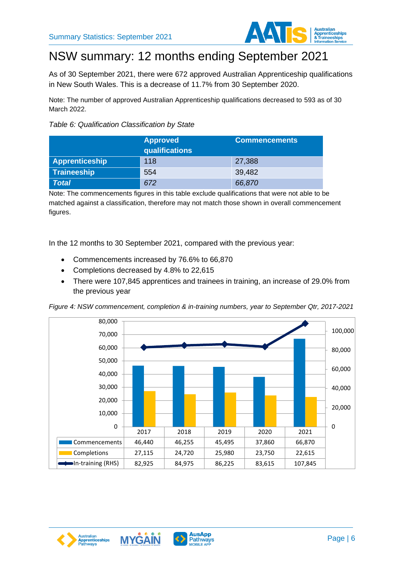

# NSW summary: 12 months ending September 2021

As of 30 September 2021, there were 672 approved Australian Apprenticeship qualifications in New South Wales. This is a decrease of 11.7% from 30 September 2020.

Note: The number of approved Australian Apprenticeship qualifications decreased to 593 as of 30 March 2022.

#### *Table 6: Qualification Classification by State*

|                       | <b>Approved</b><br>$ $ qualifications $ $ | <b>Commencements</b> |
|-----------------------|-------------------------------------------|----------------------|
| <b>Apprenticeship</b> | 118                                       | 27,388               |
| Traineeship           | 554                                       | 39,482               |
| <b>Total</b>          | 672                                       | 66,870               |

Note: The commencements figures in this table exclude qualifications that were not able to be matched against a classification, therefore may not match those shown in overall commencement figures.

In the 12 months to 30 September 2021, compared with the previous year:

- Commencements increased by 76.6% to 66,870
- Completions decreased by 4.8% to 22,615
- There were 107,845 apprentices and trainees in training, an increase of 29.0% from the previous year

*Figure 4: NSW commencement, completion & in-training numbers, year to September Qtr, 2017-2021*







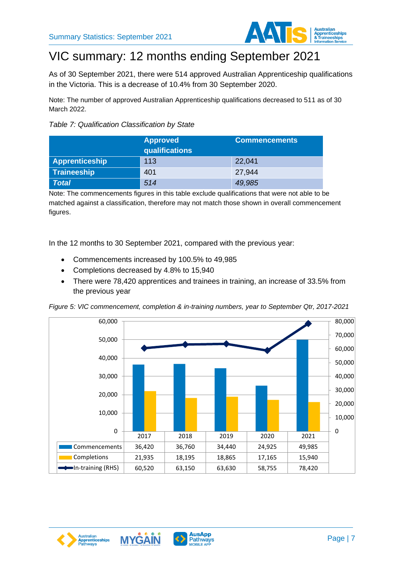

## VIC summary: 12 months ending September 2021

As of 30 September 2021, there were 514 approved Australian Apprenticeship qualifications in the Victoria. This is a decrease of 10.4% from 30 September 2020.

Note: The number of approved Australian Apprenticeship qualifications decreased to 511 as of 30 March 2022.



|                       | <b>Approved</b><br>qualifications | <b>Commencements</b> |
|-----------------------|-----------------------------------|----------------------|
| <b>Apprenticeship</b> | 113                               | 22,041               |
| Traineeship           | 401                               | 27,944               |
| <b>Total</b>          | 514                               | 49,985               |

Note: The commencements figures in this table exclude qualifications that were not able to be matched against a classification, therefore may not match those shown in overall commencement figures.

In the 12 months to 30 September 2021, compared with the previous year:

- Commencements increased by 100.5% to 49,985
- Completions decreased by 4.8% to 15,940
- There were 78,420 apprentices and trainees in training, an increase of 33.5% from the previous year

*Figure 5: VIC commencement, completion & in-training numbers, year to September Qtr, 2017-2021*







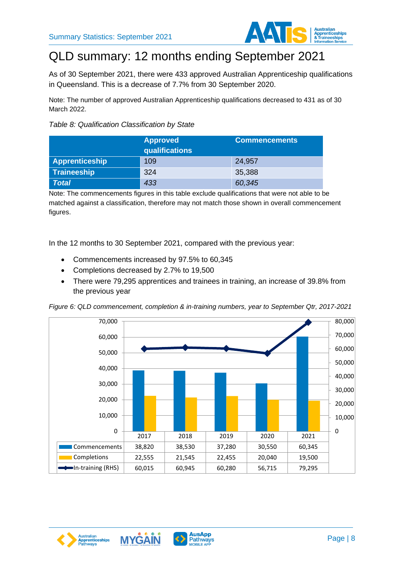

## QLD summary: 12 months ending September 2021

As of 30 September 2021, there were 433 approved Australian Apprenticeship qualifications in Queensland. This is a decrease of 7.7% from 30 September 2020.

Note: The number of approved Australian Apprenticeship qualifications decreased to 431 as of 30 March 2022.

#### *Table 8: Qualification Classification by State*

|                       | <b>Approved</b><br>qualifications | <b>Commencements</b> |
|-----------------------|-----------------------------------|----------------------|
| <b>Apprenticeship</b> | 109                               | 24,957               |
| <b>Traineeship</b>    | 324                               | 35,388               |
| <b>Total</b>          | 433                               | 60,345               |

Note: The commencements figures in this table exclude qualifications that were not able to be matched against a classification, therefore may not match those shown in overall commencement figures.

In the 12 months to 30 September 2021, compared with the previous year:

- Commencements increased by 97.5% to 60,345
- Completions decreased by 2.7% to 19,500
- There were 79,295 apprentices and trainees in training, an increase of 39.8% from the previous year

*Figure 6: QLD commencement, completion & in-training numbers, year to September Qtr, 2017-2021*







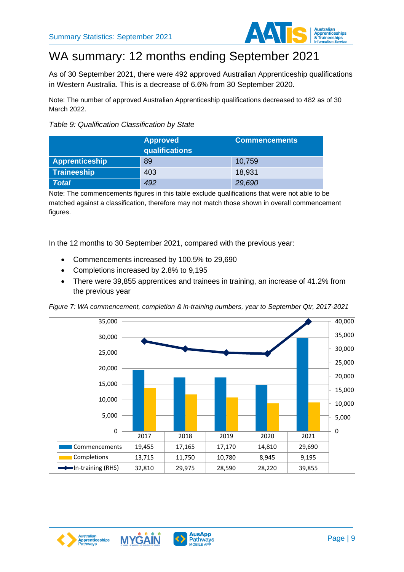

## WA summary: 12 months ending September 2021

As of 30 September 2021, there were 492 approved Australian Apprenticeship qualifications in Western Australia. This is a decrease of 6.6% from 30 September 2020.

Note: The number of approved Australian Apprenticeship qualifications decreased to 482 as of 30 March 2022.

#### *Table 9: Qualification Classification by State*

|                       | <b>Approved</b><br> qualifications <sup> </sup> | <b>Commencements</b> |
|-----------------------|-------------------------------------------------|----------------------|
| <b>Apprenticeship</b> | 89                                              | 10,759               |
| <b>Traineeship</b>    | 403                                             | 18,931               |
| <b>Total</b>          | 492                                             | 29,690               |

Note: The commencements figures in this table exclude qualifications that were not able to be matched against a classification, therefore may not match those shown in overall commencement figures.

In the 12 months to 30 September 2021, compared with the previous year:

- Commencements increased by 100.5% to 29,690
- Completions increased by 2.8% to 9,195
- There were 39,855 apprentices and trainees in training, an increase of 41.2% from the previous year

*Figure 7: WA commencement, completion & in-training numbers, year to September Qtr, 2017-2021*







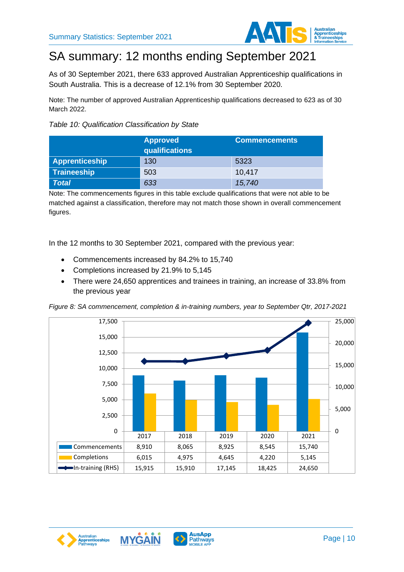

## SA summary: 12 months ending September 2021

As of 30 September 2021, there 633 approved Australian Apprenticeship qualifications in South Australia. This is a decrease of 12.1% from 30 September 2020.

Note: The number of approved Australian Apprenticeship qualifications decreased to 623 as of 30 March 2022.

#### *Table 10: Qualification Classification by State*

|                       | <b>Approved</b><br>qualifications | <b>Commencements</b> |
|-----------------------|-----------------------------------|----------------------|
| <b>Apprenticeship</b> | 130                               | 5323                 |
| Traineeship           | 503                               | 10,417               |
| <b>Total</b>          | 633                               | 15,740               |

Note: The commencements figures in this table exclude qualifications that were not able to be matched against a classification, therefore may not match those shown in overall commencement figures.

In the 12 months to 30 September 2021, compared with the previous year:

- Commencements increased by 84.2% to 15,740
- Completions increased by 21.9% to 5,145
- There were 24,650 apprentices and trainees in training, an increase of 33.8% from the previous year

*Figure 8: SA commencement, completion & in-training numbers, year to September Qtr, 2017-2021*







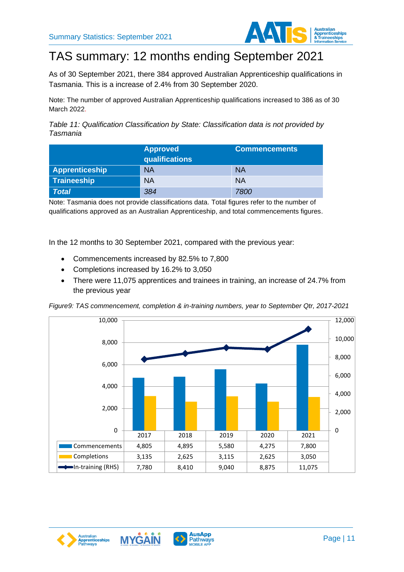

# TAS summary: 12 months ending September 2021

As of 30 September 2021, there 384 approved Australian Apprenticeship qualifications in Tasmania. This is a increase of 2.4% from 30 September 2020.

Note: The number of approved Australian Apprenticeship qualifications increased to 386 as of 30 March 2022.

*Table 11: Qualification Classification by State: Classification data is not provided by Tasmania*

|                | <b>Approved</b><br>$ $ qualifications $ $ | <b>Commencements</b> |
|----------------|-------------------------------------------|----------------------|
| Apprenticeship | <b>NA</b>                                 | <b>NA</b>            |
| Traineeship    | <b>NA</b>                                 | <b>NA</b>            |
| <b>Total</b>   | 384                                       | 7800                 |

Note: Tasmania does not provide classifications data. Total figures refer to the number of qualifications approved as an Australian Apprenticeship, and total commencements figures.

In the 12 months to 30 September 2021, compared with the previous year:

- Commencements increased by 82.5% to 7,800
- Completions increased by 16.2% to 3,050
- There were 11,075 apprentices and trainees in training, an increase of 24.7% from the previous year

*Figure9: TAS commencement, completion & in-training numbers, year to September Qtr, 2017-2021*







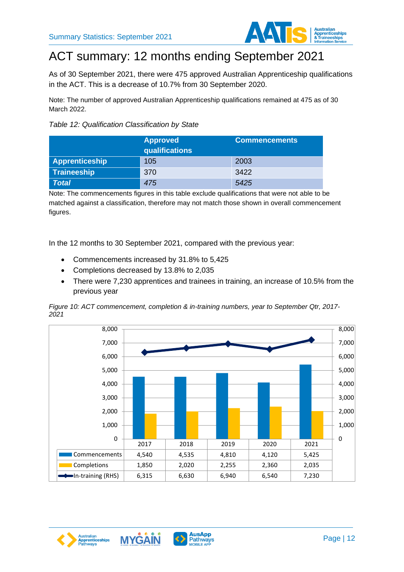

## ACT summary: 12 months ending September 2021

As of 30 September 2021, there were 475 approved Australian Apprenticeship qualifications in the ACT. This is a decrease of 10.7% from 30 September 2020.

Note: The number of approved Australian Apprenticeship qualifications remained at 475 as of 30 March 2022.



|                       | <b>Approved</b><br>qualifications | <b>Commencements</b> |
|-----------------------|-----------------------------------|----------------------|
| <b>Apprenticeship</b> | 105                               | 2003                 |
| <b>Traineeship</b>    | 370                               | 3422                 |
| <b>Total</b>          | 475                               | 5425                 |

Note: The commencements figures in this table exclude qualifications that were not able to be matched against a classification, therefore may not match those shown in overall commencement figures.

In the 12 months to 30 September 2021, compared with the previous year:

- Commencements increased by 31.8% to 5,425
- Completions decreased by 13.8% to 2,035
- There were 7,230 apprentices and trainees in training, an increase of 10.5% from the previous year

*Figure 10: ACT commencement, completion & in-training numbers, year to September Qtr, 2017- 2021*







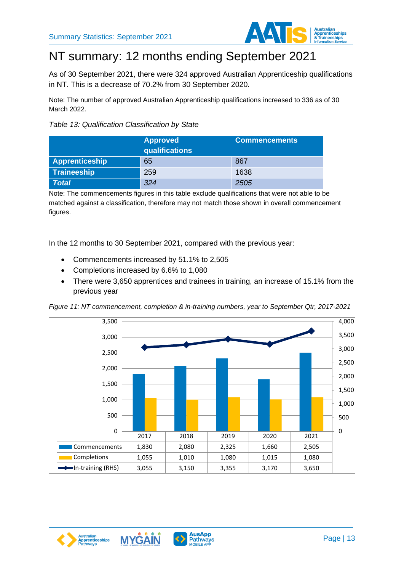

# NT summary: 12 months ending September 2021

As of 30 September 2021, there were 324 approved Australian Apprenticeship qualifications in NT. This is a decrease of 70.2% from 30 September 2020.

Note: The number of approved Australian Apprenticeship qualifications increased to 336 as of 30 March 2022.



|                       | <b>Approved</b><br>qualifications | <b>Commencements</b> |
|-----------------------|-----------------------------------|----------------------|
| <b>Apprenticeship</b> | 65                                | 867                  |
| <b>Traineeship</b>    | 259                               | 1638                 |
| <b>Total</b>          | 324                               | 2505                 |

Note: The commencements figures in this table exclude qualifications that were not able to be matched against a classification, therefore may not match those shown in overall commencement figures.

In the 12 months to 30 September 2021, compared with the previous year:

- Commencements increased by 51.1% to 2,505
- Completions increased by 6.6% to 1,080
- There were 3,650 apprentices and trainees in training, an increase of 15.1% from the previous year









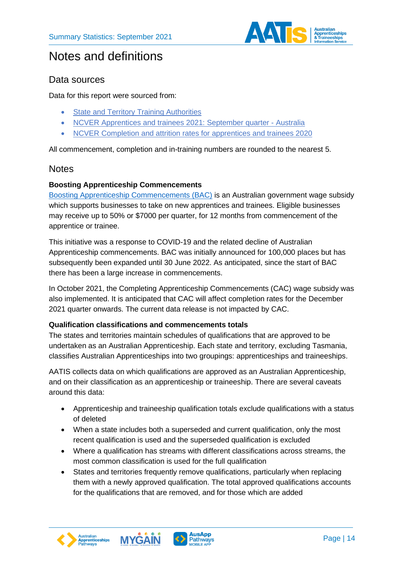

### Notes and definitions

### <span id="page-13-0"></span>Data sources

Data for this report were sourced from:

- [State and Territory Training Authorities](https://www.aapathways.com.au/sps?spdAAP.ServiceProviderType=%22Government%20Services%22&tab-test1=0)
- [NCVER Apprentices and trainees 2021: September](https://www.ncver.edu.au/research-and-statistics/publications/all-publications/apprentices-and-trainees-2021-september-quarter) quarter Australia
- [NCVER Completion and attrition rates for apprentices and trainees 2020](https://www.ncver.edu.au/research-and-statistics/collections/apprentices-and-trainees-collection)

All commencement, completion and in-training numbers are rounded to the nearest 5.

#### **Notes**

#### <span id="page-13-1"></span>**Boosting Apprenticeship Commencements**

[Boosting Apprenticeship Commencements \(BAC\)](https://www.dese.gov.au/boosting-apprenticeship-commencements) is an Australian government wage subsidy which supports businesses to take on new apprentices and trainees. Eligible businesses may receive up to 50% or \$7000 per quarter, for 12 months from commencement of the apprentice or trainee.

This initiative was a response to COVID-19 and the related decline of Australian Apprenticeship commencements. BAC was initially announced for 100,000 places but has subsequently been expanded until 30 June 2022. As anticipated, since the start of BAC there has been a large increase in commencements.

In October 2021, the Completing Apprenticeship Commencements (CAC) wage subsidy was also implemented. It is anticipated that CAC will affect completion rates for the December 2021 quarter onwards. The current data release is not impacted by CAC.

#### <span id="page-13-2"></span>**Qualification classifications and commencements totals**

The states and territories maintain schedules of qualifications that are approved to be undertaken as an Australian Apprenticeship. Each state and territory, excluding Tasmania, classifies Australian Apprenticeships into two groupings: apprenticeships and traineeships.

AATIS collects data on which qualifications are approved as an Australian Apprenticeship, and on their classification as an apprenticeship or traineeship. There are several caveats around this data:

- Apprenticeship and traineeship qualification totals exclude qualifications with a status of deleted
- When a state includes both a superseded and current qualification, only the most recent qualification is used and the superseded qualification is excluded
- Where a qualification has streams with different classifications across streams, the most common classification is used for the full qualification
- States and territories frequently remove qualifications, particularly when replacing them with a newly approved qualification. The total approved qualifications accounts for the qualifications that are removed, and for those which are added